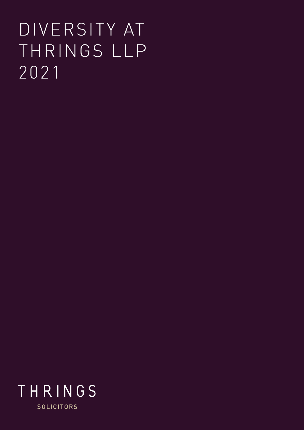# DIVERSITY AT THRINGS LLP 2021

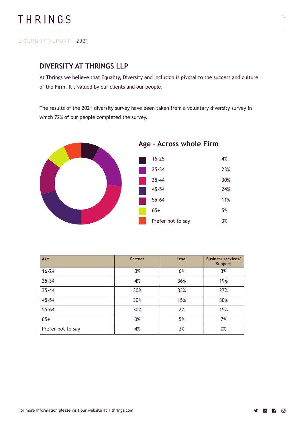### **DIVERSITY AT THRINGS LLP**

At Thrings we believe that Equality, Diversity and Inclusion is pivotal to the success and culture of the Firm. It's valued by our clients and our people.

The results of the 2021 diversity survey have been taken from a voluntary diversity survey in which 72% of our people completed the survey.



| Age               | <b>Partner</b> | Legal | <b>Business services/</b><br><b>Support</b> |
|-------------------|----------------|-------|---------------------------------------------|
| $16 - 24$         | 0%             | 6%    | 3%                                          |
| $25 - 34$         | 4%             | 36%   | 19%                                         |
| $35 - 44$         | 30%            | 33%   | 27%                                         |
| $45 - 54$         | 30%            | 15%   | 30%                                         |
| $55 - 64$         | 30%            | 2%    | 15%                                         |
| $65+$             | 0%             | 5%    | 7%                                          |
| Prefer not to say | 4%             | 3%    | 0%                                          |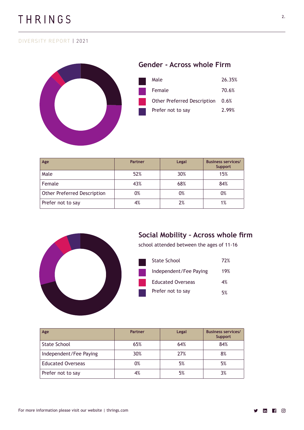

| Age                                | <b>Partner</b> | Legal | <b>Business services/</b><br><b>Support</b> |
|------------------------------------|----------------|-------|---------------------------------------------|
| Male                               | 52%            | 30%   | 15%                                         |
| Female                             | 43%            | 68%   | 84%                                         |
| <b>Other Preferred Description</b> | 0%             | 0%    | 0%                                          |
| Prefer not to say                  | 4%             | 2%    | 1%                                          |



## **Social Mobility – Across whole firm**

school attended between the ages of 11-16

| State School             | 72% |
|--------------------------|-----|
| Independent/Fee Paying   | 19% |
| <b>Educated Overseas</b> | 4%  |
| Prefer not to say        | 5%  |

| Age                      | <b>Partner</b> | Legal | <b>Business services/</b><br><b>Support</b> |
|--------------------------|----------------|-------|---------------------------------------------|
| <b>State School</b>      | 65%            | 64%   | 84%                                         |
| Independent/Fee Paying   | 30%            | 27%   | 8%                                          |
| <b>Educated Overseas</b> | 0%             | 5%    | 5%                                          |
| Prefer not to say        | 4%             | 5%    | 3%                                          |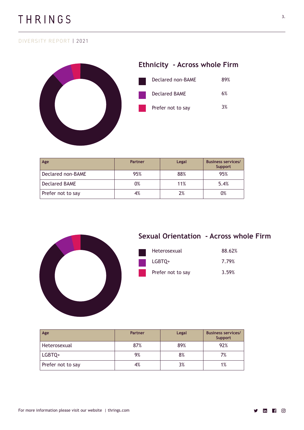

| Age                  | Partner | Legal | <b>Business services/</b><br>Support |
|----------------------|---------|-------|--------------------------------------|
| Declared non-BAME    | 95%     | 88%   | 95%                                  |
| <b>Declared BAME</b> | 0%      | 11%   | 5.4%                                 |
| Prefer not to say    | 4%      | 2%    | 0%                                   |



## **Sexual Orientation - Across whole Firm**

| Heterosexual      | 88.62% |
|-------------------|--------|
| LGBTO+            | 7.79%  |
| Prefer not to say | 3.59%  |

| Age               | Partner | Legal | <b>Business services/</b><br><b>Support</b> |
|-------------------|---------|-------|---------------------------------------------|
| Heterosexual      | 87%     | 89%   | 92%                                         |
| LGBTQ+            | 9%      | 8%    | 7%                                          |
| Prefer not to say | 4%      | 3%    | 1%                                          |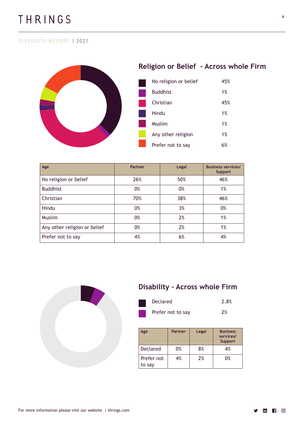

| Age                          | <b>Partner</b> | Legal | <b>Business services/</b><br><b>Support</b> |
|------------------------------|----------------|-------|---------------------------------------------|
| No religion or belief        | 26%            | 50%   | 46%                                         |
| <b>Buddhist</b>              | 0%             | 0%    | 1%                                          |
| Christian                    | 70%            | 38%   | 46%                                         |
| Hindu                        | 0%             | 3%    | 0%                                          |
| <b>Muslim</b>                | 0%             | 2%    | 1%                                          |
| Any other religion or belief | 0%             | 2%    | 1%                                          |
| Prefer not to say            | 4%             | 6%    | 4%                                          |



## **Disability - Across whole Firm**

| Declared          | 2.8% |
|-------------------|------|
| Prefer not to say | 2%   |

| Age                  | <b>Partner</b> | Legal | <b>Business</b><br>services/<br><b>Support</b> |
|----------------------|----------------|-------|------------------------------------------------|
| <b>Declared</b>      | 0%             | 8%    | 4%                                             |
| Prefer not<br>to say | 4%             | 2%    | 0%                                             |